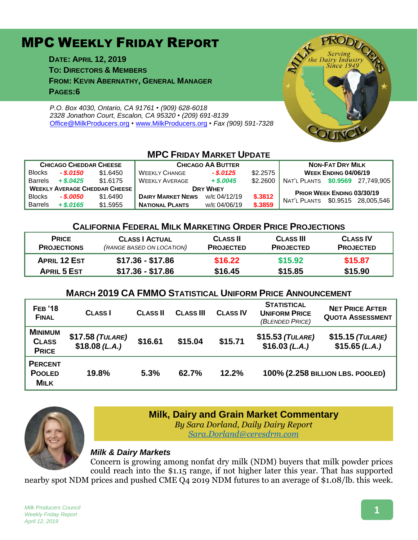# MPC WEEKLY FRIDAY REPORT

**DATE: APRIL 12, 2019 TO: DIRECTORS & MEMBERS FROM: KEVIN ABERNATHY, GENERAL MANAGER PAGES:6**

*P.O. Box 4030, Ontario, CA 91761 • (909) 628-6018 2328 Jonathon Court, Escalon, CA 95320 • (209) 691-8139* [Office@MilkProducers.org](mailto:office@milkproducers.org) *•* [www.MilkProducers.org](http://www.milkproducers.org/) *• Fax (909) 591-7328*



## **MPC FRIDAY MARKET UPDATE**

| <b>CHICAGO CHEDDAR CHEESE</b>        |              |          | <b>CHICAGO AA BUTTER</b> |              |          | <b>NON-FAT DRY MILK</b>           |  |                     |
|--------------------------------------|--------------|----------|--------------------------|--------------|----------|-----------------------------------|--|---------------------|
| <b>Blocks</b>                        | $-.$ \$.0150 | \$1.6450 | <b>WEEKLY CHANGE</b>     | $-$ \$.0125  | \$2.2575 | <b>WEEK ENDING 04/06/19</b>       |  |                     |
| <b>Barrels</b>                       | $+$ \$.0425  | \$1.6175 | <b>WEEKLY AVERAGE</b>    | $+$ \$,0045  | \$2,2600 | NAT'L PLANTS \$0.9569 27.749.905  |  |                     |
| <b>WEEKLY AVERAGE CHEDDAR CHEESE</b> |              |          | <b>DRY WHEY</b>          |              |          | <b>PRIOR WEEK ENDING 03/30/19</b> |  |                     |
| <b>Blocks</b>                        | - \$.0050    | \$1,6490 | <b>DAIRY MARKET NEWS</b> | W/E 04/12/19 | \$.3812  | NAT'L PLANTS                      |  | \$0.9515 28.005.546 |
| <b>Barrels</b>                       | $+$ \$.0165  | \$1,5955 | <b>NATIONAL PLANTS</b>   | W/E 04/06/19 | \$.3859  |                                   |  |                     |

#### **CALIFORNIA FEDERAL MILK MARKETING ORDER PRICE PROJECTIONS**

| <b>PRICE</b>        | <b>CLASS   ACTUAL</b>     | <b>CLASS II</b>  | <b>CLASS III</b> | <b>CLASS IV</b>  |
|---------------------|---------------------------|------------------|------------------|------------------|
| <b>PROJECTIONS</b>  | (RANGE BASED ON LOCATION) | <b>PROJECTED</b> | <b>PROJECTED</b> | <b>PROJECTED</b> |
| <b>APRIL 12 EST</b> | $$17.36 - $17.86$         | \$16.22          | \$15.92          | \$15.87          |
| <b>APRIL 5 EST</b>  | \$17.36 - \$17.86         | \$16.45          | \$15.85          | \$15.90          |

### **MARCH 2019 CA FMMO STATISTICAL UNIFORM PRICE ANNOUNCEMENT**

| <b>FEB</b> '18<br><b>FINAL</b>                 | <b>CLASS</b>                       | <b>CLASS II</b> | <b>CLASS III</b> | <b>CLASS IV</b> | <b>STATISTICAL</b><br><b>UNIFORM PRICE</b><br>(BLENDED PRICE) | <b>NET PRICE AFTER</b><br><b>QUOTA ASSESSMENT</b> |
|------------------------------------------------|------------------------------------|-----------------|------------------|-----------------|---------------------------------------------------------------|---------------------------------------------------|
| <b>MINIMUM</b><br><b>CLASS</b><br><b>PRICE</b> | $$17.58$ (TULARE)<br>\$18.08(L.A.) | \$16.61         | \$15.04          | \$15.71         | $$15.53$ (TULARE)<br>$$16.03$ (L.A.)                          | $$15.15$ (TULARE)<br>\$15.65(L.A.)                |
| <b>PERCENT</b><br><b>POOLED</b><br>MILK        | 19.8%                              | 5.3%            | 62.7%            | 12.2%           | 100% (2.258 BILLION LBS. POOLED)                              |                                                   |



## **Milk, Dairy and Grain Market Commentary**

*By Sara Dorland, Daily Dairy Report*

*[Sara.Dorland@ceresdrm.com](mailto:Sara.Dorland@ceresdrm.com)*

#### *Milk & Dairy Markets*

Concern is growing among nonfat dry milk (NDM) buyers that milk powder prices could reach into the \$1.15 range, if not higher later this year. That has supported nearby spot NDM prices and pushed CME Q4 2019 NDM futures to an average of \$1.08/lb. this week.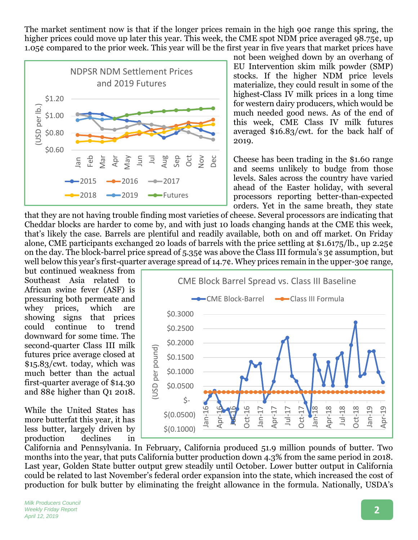The market sentiment now is that if the longer prices remain in the high 90¢ range this spring, the higher prices could move up later this year. This week, the CME spot NDM price averaged 98.75¢, up 1.05¢ compared to the prior week. This year will be the first year in five years that market prices have



not been weighed down by an overhang of EU Intervention skim milk powder (SMP) stocks. If the higher NDM price levels materialize, they could result in some of the highest-Class IV milk prices in a long time for western dairy producers, which would be much needed good news. As of the end of this week, CME Class IV milk futures averaged \$16.83/cwt. for the back half of 2019.

Cheese has been trading in the \$1.60 range and seems unlikely to budge from those levels. Sales across the country have varied ahead of the Easter holiday, with several processors reporting better-than-expected orders. Yet in the same breath, they state

that they are not having trouble finding most varieties of cheese. Several processors are indicating that Cheddar blocks are harder to come by, and with just 10 loads changing hands at the CME this week, that's likely the case. Barrels are plentiful and readily available, both on and off market. On Friday alone, CME participants exchanged 20 loads of barrels with the price settling at \$1.6175/lb., up 2.25¢ on the day. The block-barrel price spread of 5.35¢ was above the Class III formula's 3¢ assumption, but well below this year's first-quarter average spread of 14.7¢. Whey prices remain in the upper-30¢ range,

but continued weakness from Southeast Asia related to African swine fever (ASF) is pressuring both permeate and whey prices, which are showing signs that prices could continue to trend downward for some time. The second-quarter Class III milk futures price average closed at \$15.83/cwt. today, which was much better than the actual first-quarter average of \$14.30 and 88¢ higher than Q1 2018.

While the United States has more butterfat this year, it has less butter, largely driven by production declines in



California and Pennsylvania. In February, California produced 51.9 million pounds of butter. Two months into the year, that puts California butter production down 4.3% from the same period in 2018. Last year, Golden State butter output grew steadily until October. Lower butter output in California could be related to last November's federal order expansion into the state, which increased the cost of production for bulk butter by eliminating the freight allowance in the formula. Nationally, USDA's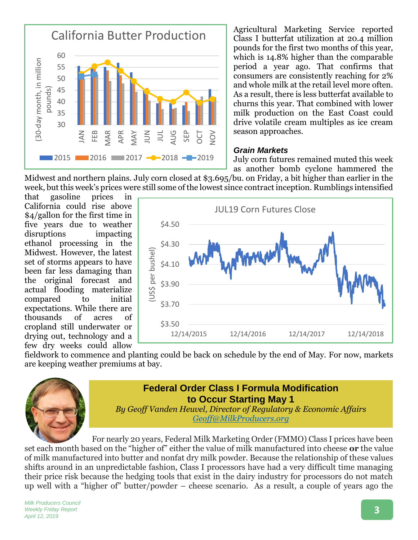

Agricultural Marketing Service reported Class I butterfat utilization at 20.4 million pounds for the first two months of this year, which is  $14.8\%$  higher than the comparable period a year ago. That confirms that consumers are consistently reaching for 2% and whole milk at the retail level more often. As a result, there is less butterfat available to churns this year. That combined with lower milk production on the East Coast could drive volatile cream multiples as ice cream season approaches.

#### *Grain Markets*

July corn futures remained muted this week as another bomb cyclone hammered the

Midwest and northern plains. July corn closed at \$3.695/bu. on Friday, a bit higher than earlier in the week, but this week's prices were still some of the lowest since contract inception. Rumblings intensified

that gasoline prices in California could rise above \$4/gallon for the first time in five years due to weather disruptions impacting ethanol processing in the Midwest. However, the latest set of storms appears to have been far less damaging than the original forecast and actual flooding materialize compared to initial expectations. While there are thousands of acres of cropland still underwater or drying out, technology and a few dry weeks could allow



fieldwork to commence and planting could be back on schedule by the end of May. For now, markets are keeping weather premiums at bay.



## **Federal Order Class I Formula Modification to Occur Starting May 1**

*By Geoff Vanden Heuvel, Director of Regulatory & Economic Affairs [Geoff@MilkProducers.org](mailto:Geoff@MilkProducers.org)*

For nearly 20 years, Federal Milk Marketing Order (FMMO) Class I prices have been set each month based on the "higher of" either the value of milk manufactured into cheese **or** the value of milk manufactured into butter and nonfat dry milk powder. Because the relationship of these values shifts around in an unpredictable fashion, Class I processors have had a very difficult time managing their price risk because the hedging tools that exist in the dairy industry for processors do not match up well with a "higher of" butter/powder – cheese scenario. As a result, a couple of years ago the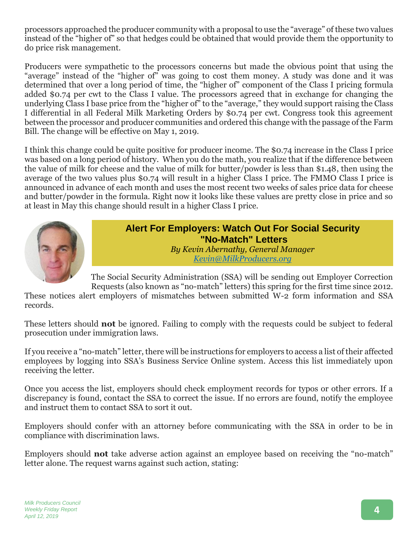processors approached the producer community with a proposal to use the "average" of these two values instead of the "higher of" so that hedges could be obtained that would provide them the opportunity to do price risk management.

Producers were sympathetic to the processors concerns but made the obvious point that using the "average" instead of the "higher of" was going to cost them money. A study was done and it was determined that over a long period of time, the "higher of" component of the Class I pricing formula added \$0.74 per cwt to the Class I value. The processors agreed that in exchange for changing the underlying Class I base price from the "higher of" to the "average," they would support raising the Class I differential in all Federal Milk Marketing Orders by \$0.74 per cwt. Congress took this agreement between the processor and producer communities and ordered this change with the passage of the Farm Bill. The change will be effective on May 1, 2019.

I think this change could be quite positive for producer income. The \$0.74 increase in the Class I price was based on a long period of history. When you do the math, you realize that if the difference between the value of milk for cheese and the value of milk for butter/powder is less than \$1.48, then using the average of the two values plus \$0.74 will result in a higher Class I price. The FMMO Class I price is announced in advance of each month and uses the most recent two weeks of sales price data for cheese and butter/powder in the formula. Right now it looks like these values are pretty close in price and so at least in May this change should result in a higher Class I price.



**Alert For Employers: Watch Out For Social Security "No-Match" Letters** *By Kevin Abernathy, General Manager Kevin@MilkProducers.org*

The Social Security Administration (SSA) will be sending out Employer Correction Requests (also known as "no-match" letters) this spring for the first time since 2012.

These notices alert employers of mismatches between submitted W-2 form information and SSA records.

These letters should **not** be ignored. Failing to comply with the requests could be subject to federal prosecution under immigration laws.

If you receive a "no-match" letter, there will be instructions for employers to access a list of their affected employees by logging into SSA's Business Service Online system. Access this list immediately upon receiving the letter.

Once you access the list, employers should check employment records for typos or other errors. If a discrepancy is found, contact the SSA to correct the issue. If no errors are found, notify the employee and instruct them to contact SSA to sort it out.

Employers should confer with an attorney before communicating with the SSA in order to be in compliance with discrimination laws.

Employers should **not** take adverse action against an employee based on receiving the "no-match" letter alone. The request warns against such action, stating: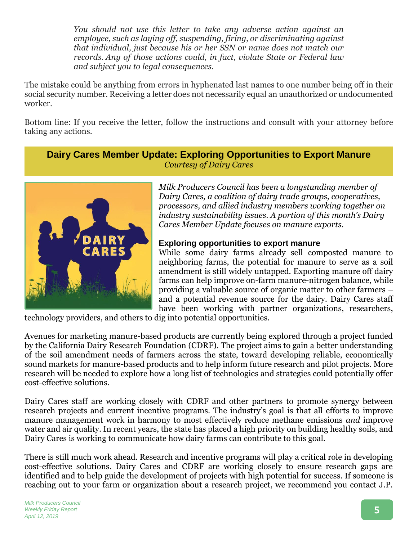*You should not use this letter to take any adverse action against an employee, such as laying off, suspending, firing, or discriminating against that individual, just because his or her SSN or name does not match our records. Any of those actions could, in fact, violate State or Federal law and subject you to legal consequences.*

The mistake could be anything from errors in hyphenated last names to one number being off in their social security number. Receiving a letter does not necessarily equal an unauthorized or undocumented worker.

Bottom line: If you receive the letter, follow the instructions and consult with your attorney before taking any actions.

**Dairy Cares Member Update: Exploring Opportunities to Export Manure** *Courtesy of Dairy Cares*



*Milk Producers Council has been a longstanding member of Dairy Cares, a coalition of dairy trade groups, cooperatives, processors, and allied industry members working together on industry sustainability issues. A portion of this month's Dairy Cares Member Update focuses on manure exports.*

#### **Exploring opportunities to export manure**

While some dairy farms already sell composted manure to neighboring farms, the potential for manure to serve as a soil amendment is still widely untapped. Exporting manure off dairy farms can help improve on-farm manure-nitrogen balance, while providing a valuable source of organic matter to other farmers – and a potential revenue source for the dairy. Dairy Cares staff have been working with partner organizations, researchers,

technology providers, and others to dig into potential opportunities.

Avenues for marketing manure-based products are currently being explored through a project funded by the California Dairy Research Foundation (CDRF). The project aims to gain a better understanding of the soil amendment needs of farmers across the state, toward developing reliable, economically sound markets for manure-based products and to help inform future research and pilot projects. More research will be needed to explore how a long list of technologies and strategies could potentially offer cost-effective solutions.

Dairy Cares staff are working closely with CDRF and other partners to promote synergy between research projects and current incentive programs. The industry's goal is that all efforts to improve manure management work in harmony to most effectively reduce methane emissions *and* improve water and air quality. In recent years, the state has placed a high priority on building healthy soils, and Dairy Cares is working to communicate how dairy farms can contribute to this goal.

There is still much work ahead. Research and incentive programs will play a critical role in developing cost-effective solutions. Dairy Cares and CDRF are working closely to ensure research gaps are identified and to help guide the development of projects with high potential for success. If someone is reaching out to your farm or organization about a research project, we recommend you contact J.P.